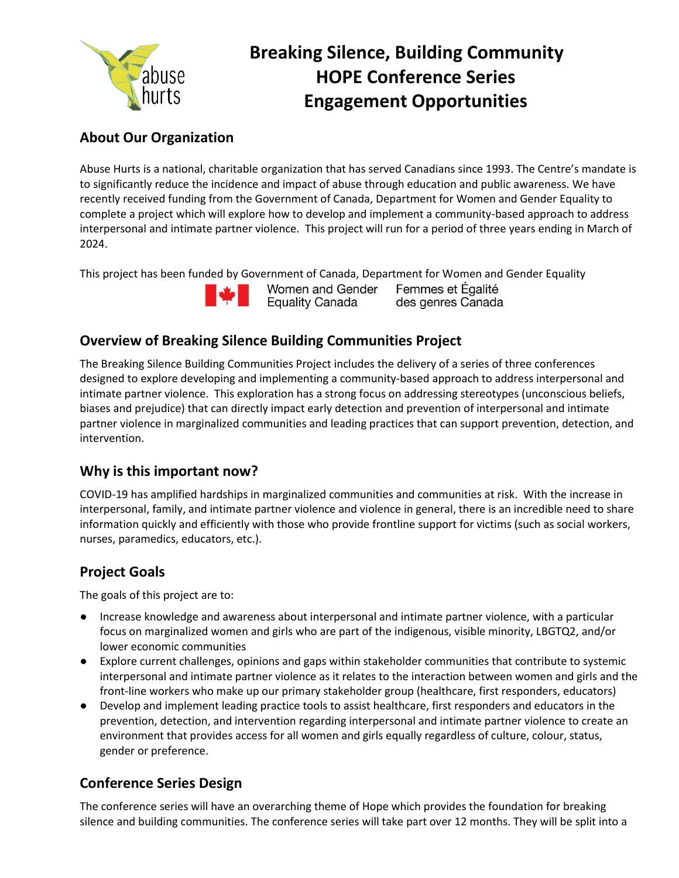

# **Breaking Silence, Building Community HOPE Conference Series Engagement Opportunities**

# **About Our Organization**

Abuse Hurts is a national, charitable organization that has served Canadians since 1993. The Centre's mandate is to significantly reduce the incidence and impact of abuse through education and public awareness. We have recently received funding from the Government of Canada, Department for Women and Gender Equality to complete a project which will explore how to develop and implement a community-based approach to address interpersonal and intimate partner violence. This project will run for a period of three years ending in March of 2024.

This project has been funded by Government of Canada, Department for Women and Gender Equality



Women and Gender Femmes et Égalité **Equality Canada** des genres Canada

# **Overview of Breaking Silence Building Communities Project**

The Breaking Silence Building Communities Project includes the delivery of a series of three conferences designed to explore developing and implementing a community-based approach to address interpersonal and intimate partner violence. This exploration has a strong focus on addressing stereotypes (unconscious beliefs, biases and prejudice) that can directly impact early detection and prevention of interpersonal and intimate partner violence in marginalized communities and leading practices that can support prevention, detection, and intervention.

# **Why is this important now?**

COVID-19 has amplified hardships in marginalized communities and communities at risk. With the increase in interpersonal, family, and intimate partner violence and violence in general, there is an incredible need to share information quickly and efficiently with those who provide frontline support for victims (such as social workers, nurses, paramedics, educators, etc.).

# **Project Goals**

The goals of this project are to:

- Increase knowledge and awareness about interpersonal and intimate partner violence, with a particular focus on marginalized women and girls who are part of the indigenous, visible minority, LBGTQ2, and/or lower economic communities
- Explore current challenges, opinions and gaps within stakeholder communities that contribute to systemic interpersonal and intimate partner violence as it relates to the interaction between women and girls and the front-line workers who make up our primary stakeholder group (healthcare, first responders, educators)
- Develop and implement leading practice tools to assist healthcare, first responders and educators in the prevention, detection, and intervention regarding interpersonal and intimate partner violence to create an environment that provides access for all women and girls equally regardless of culture, colour, status, gender or preference.

# **Conference Series Design**

The conference series will have an overarching theme of Hope which provides the foundation for breaking silence and building communities. The conference series will take part over 12 months. They will be split into a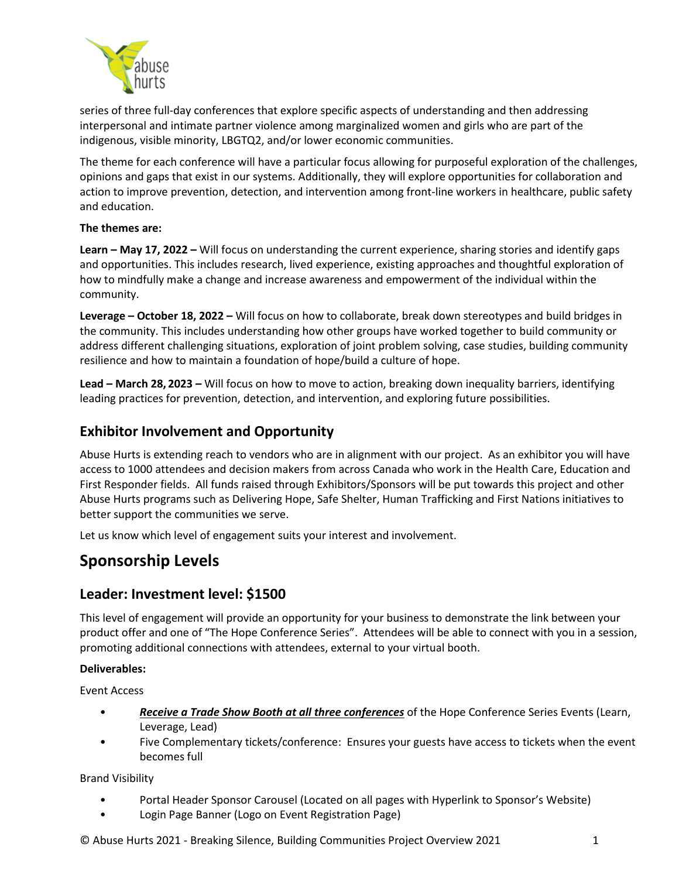

series of three full-day conferences that explore specific aspects of understanding and then addressing interpersonal and intimate partner violence among marginalized women and girls who are part of the indigenous, visible minority, LBGTQ2, and/or lower economic communities.

The theme for each conference will have a particular focus allowing for purposeful exploration of the challenges, opinions and gaps that exist in our systems. Additionally, they will explore opportunities for collaboration and action to improve prevention, detection, and intervention among front-line workers in healthcare, public safety and education.

#### **The themes are:**

**Learn – May 17, 2022 –** Will focus on understanding the current experience, sharing stories and identify gaps and opportunities. This includes research, lived experience, existing approaches and thoughtful exploration of how to mindfully make a change and increase awareness and empowerment of the individual within the community.

**Leverage – October 18, 2022 –** Will focus on how to collaborate, break down stereotypes and build bridges in the community. This includes understanding how other groups have worked together to build community or address different challenging situations, exploration of joint problem solving, case studies, building community resilience and how to maintain a foundation of hope/build a culture of hope.

**Lead – March 28, 2023 –** Will focus on how to move to action, breaking down inequality barriers, identifying leading practices for prevention, detection, and intervention, and exploring future possibilities.

### **Exhibitor Involvement and Opportunity**

Abuse Hurts is extending reach to vendors who are in alignment with our project. As an exhibitor you will have access to 1000 attendees and decision makers from across Canada who work in the Health Care, Education and First Responder fields. All funds raised through Exhibitors/Sponsors will be put towards this project and other Abuse Hurts programs such as Delivering Hope, Safe Shelter, Human Trafficking and First Nations initiatives to better support the communities we serve.

Let us know which level of engagement suits your interest and involvement.

# **Sponsorship Levels**

### **Leader: Investment level: \$1500**

This level of engagement will provide an opportunity for your business to demonstrate the link between your product offer and one of "The Hope Conference Series". Attendees will be able to connect with you in a session, promoting additional connections with attendees, external to your virtual booth.

#### **Deliverables:**

Event Access

- *Receive a Trade Show Booth at all three conferences* of the Hope Conference Series Events (Learn, Leverage, Lead)
- Five Complementary tickets/conference: Ensures your guests have access to tickets when the event becomes full

Brand Visibility

- Portal Header Sponsor Carousel (Located on all pages with Hyperlink to Sponsor's Website)
- Login Page Banner (Logo on Event Registration Page)

© Abuse Hurts 2021 - Breaking Silence, Building Communities Project Overview 2021 1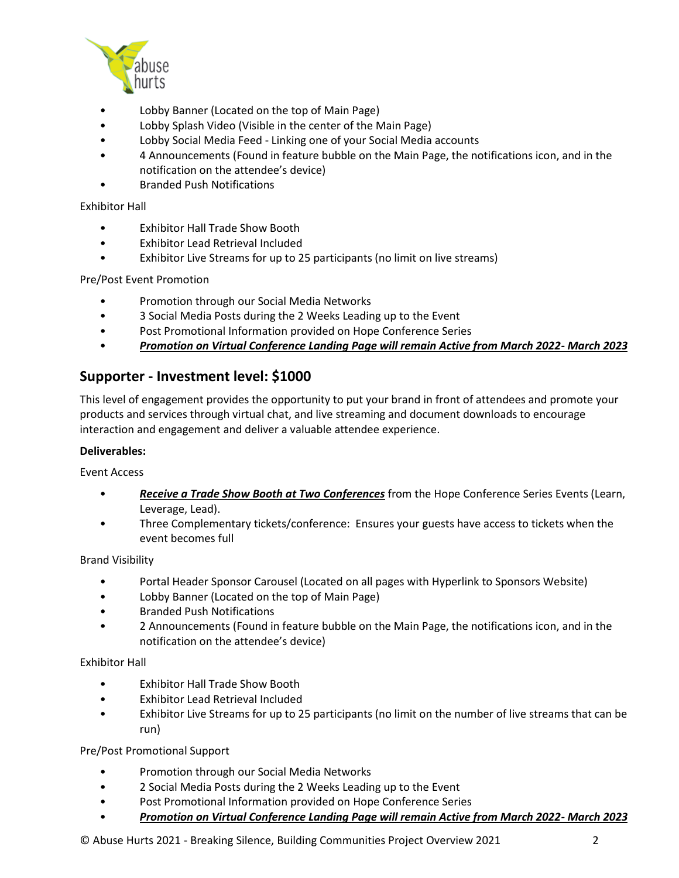

- Lobby Banner (Located on the top of Main Page)
- Lobby Splash Video (Visible in the center of the Main Page)
- Lobby Social Media Feed Linking one of your Social Media accounts
- 4 Announcements (Found in feature bubble on the Main Page, the notifications icon, and in the notification on the attendee's device)
- Branded Push Notifications

#### Exhibitor Hall

- Exhibitor Hall Trade Show Booth
- Exhibitor Lead Retrieval Included
- Exhibitor Live Streams for up to 25 participants (no limit on live streams)

Pre/Post Event Promotion

- Promotion through our Social Media Networks
- 3 Social Media Posts during the 2 Weeks Leading up to the Event
- Post Promotional Information provided on Hope Conference Series
- *Promotion on Virtual Conference Landing Page will remain Active from March 2022- March 2023*

### **Supporter - Investment level: \$1000**

This level of engagement provides the opportunity to put your brand in front of attendees and promote your products and services through virtual chat, and live streaming and document downloads to encourage interaction and engagement and deliver a valuable attendee experience.

#### **Deliverables:**

Event Access

- *Receive a Trade Show Booth at Two Conferences* from the Hope Conference Series Events (Learn, Leverage, Lead).
- Three Complementary tickets/conference: Ensures your guests have access to tickets when the event becomes full

#### Brand Visibility

- Portal Header Sponsor Carousel (Located on all pages with Hyperlink to Sponsors Website)
- Lobby Banner (Located on the top of Main Page)
- Branded Push Notifications
- 2 Announcements (Found in feature bubble on the Main Page, the notifications icon, and in the notification on the attendee's device)

#### Exhibitor Hall

- Exhibitor Hall Trade Show Booth
- Exhibitor Lead Retrieval Included
- Exhibitor Live Streams for up to 25 participants (no limit on the number of live streams that can be run)

#### Pre/Post Promotional Support

- Promotion through our Social Media Networks
- 2 Social Media Posts during the 2 Weeks Leading up to the Event
- Post Promotional Information provided on Hope Conference Series
- *Promotion on Virtual Conference Landing Page will remain Active from March 2022- March 2023*